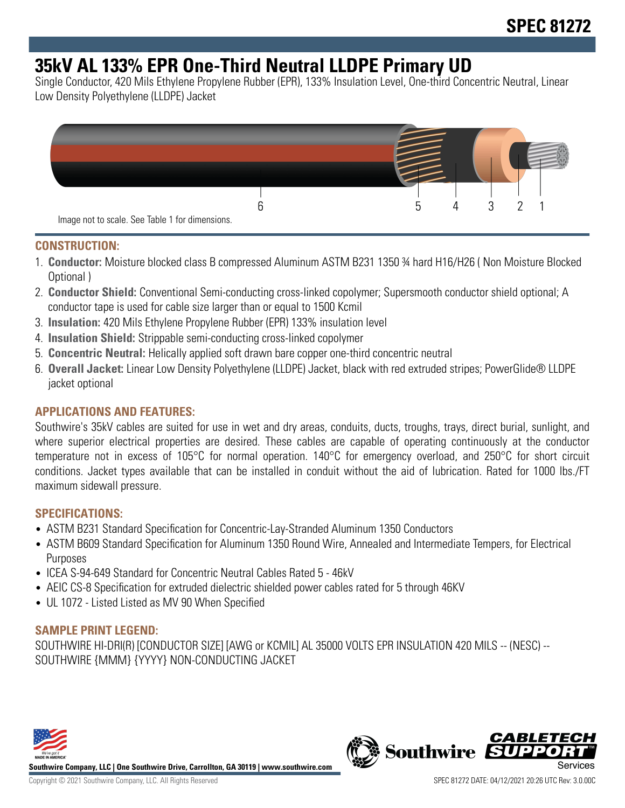# **35kV AL 133% EPR One-Third Neutral LLDPE Primary UD**

Single Conductor, 420 Mils Ethylene Propylene Rubber (EPR), 133% Insulation Level, One-third Concentric Neutral, Linear Low Density Polyethylene (LLDPE) Jacket



#### **CONSTRUCTION:**

- 1. **Conductor:** Moisture blocked class B compressed Aluminum ASTM B231 1350 ¾ hard H16/H26 ( Non Moisture Blocked Optional )
- 2. **Conductor Shield:** Conventional Semi-conducting cross-linked copolymer; Supersmooth conductor shield optional; A conductor tape is used for cable size larger than or equal to 1500 Kcmil
- 3. **Insulation:** 420 Mils Ethylene Propylene Rubber (EPR) 133% insulation level
- 4. **Insulation Shield:** Strippable semi-conducting cross-linked copolymer
- 5. **Concentric Neutral:** Helically applied soft drawn bare copper one-third concentric neutral
- 6. **Overall Jacket:** Linear Low Density Polyethylene (LLDPE) Jacket, black with red extruded stripes; PowerGlide® LLDPE jacket optional

### **APPLICATIONS AND FEATURES:**

Southwire's 35kV cables are suited for use in wet and dry areas, conduits, ducts, troughs, trays, direct burial, sunlight, and where superior electrical properties are desired. These cables are capable of operating continuously at the conductor temperature not in excess of 105°C for normal operation. 140°C for emergency overload, and 250°C for short circuit conditions. Jacket types available that can be installed in conduit without the aid of lubrication. Rated for 1000 lbs./FT maximum sidewall pressure.

#### **SPECIFICATIONS:**

- ASTM B231 Standard Specification for Concentric-Lay-Stranded Aluminum 1350 Conductors
- ASTM B609 Standard Specification for Aluminum 1350 Round Wire, Annealed and Intermediate Tempers, for Electrical Purposes
- ICEA S-94-649 Standard for Concentric Neutral Cables Rated 5 46kV
- AEIC CS-8 Specification for extruded dielectric shielded power cables rated for 5 through 46KV
- UL 1072 Listed Listed as MV 90 When Specified

### **SAMPLE PRINT LEGEND:**

SOUTHWIRE HI-DRI(R) [CONDUCTOR SIZE] [AWG or KCMIL] AL 35000 VOLTS EPR INSULATION 420 MILS -- (NESC) -- SOUTHWIRE {MMM} {YYYY} NON-CONDUCTING JACKET



**Southwire Company, LLC | One Southwire Drive, Carrollton, GA 30119 | www.southwire.com**

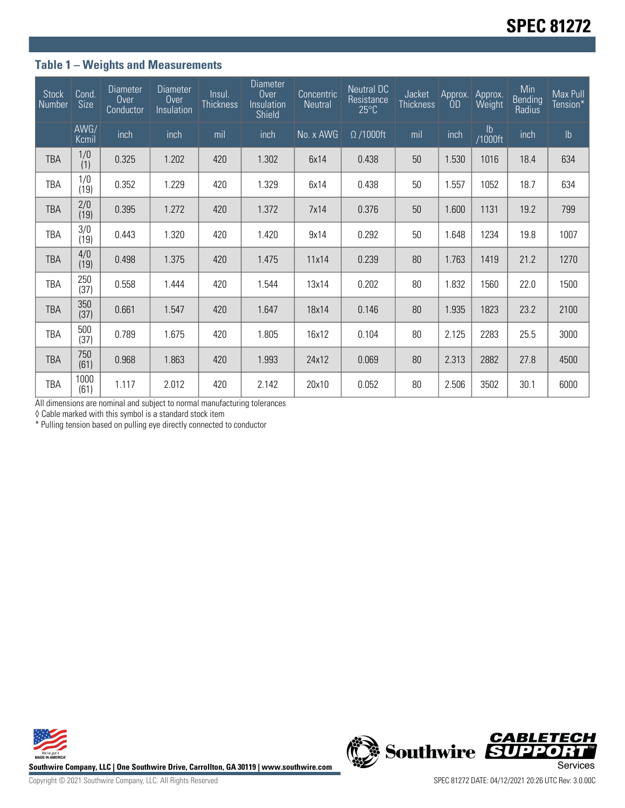## **Table 1 – Weights and Measurements**

| <b>Stock</b><br>Number | Cond.<br>Size         | Diameter<br>Over<br>Conductor | <b>Diameter</b><br>Over<br>Insulation | Insul.<br>Thickness | <b>Diameter</b><br>Over<br>Insulation<br>Shield | Concentric<br>Neutral | <b>Neutral DC</b><br>Resistance<br>$25^{\circ}$ C | Jacket<br><b>Thickness</b> | Approx. | Approx.<br>Weight | Min<br>Bending<br>Radius | Max Pull<br>Tension* |
|------------------------|-----------------------|-------------------------------|---------------------------------------|---------------------|-------------------------------------------------|-----------------------|---------------------------------------------------|----------------------------|---------|-------------------|--------------------------|----------------------|
|                        | AWG/<br>Kcmil         | inch                          | inch                                  | mil                 | inch                                            | No. x AWG             | $\Omega$ /1000ft                                  | mil                        | inch    | lb<br>1000ft/     | inch                     | $\mathsf{lb}$        |
| TBA                    | 1/0<br>(1)            | 0.325                         | 1.202                                 | 420                 | 1.302                                           | 6x14                  | 0.438                                             | 50                         | 1.530   | 1016              | 18.4                     | 634                  |
| TBA                    | $\frac{1}{0}$<br>(19) | 0.352                         | 1.229                                 | 420                 | 1.329                                           | 6x14                  | 0.438                                             | 50                         | 1.557   | 1052              | 18.7                     | 634                  |
| <b>TBA</b>             | $\frac{2}{0}$<br>(19) | 0.395                         | 1.272                                 | 420                 | 1.372                                           | 7x14                  | 0.376                                             | 50                         | 1.600   | 1131              | 19.2                     | 799                  |
| TBA                    | 3/0<br>(19)           | 0.443                         | 1.320                                 | 420                 | 1.420                                           | 9x14                  | 0.292                                             | 50                         | 1.648   | 1234              | 19.8                     | 1007                 |
| TBA                    | 4/0<br>(19)           | 0.498                         | 1.375                                 | 420                 | 1.475                                           | 11x14                 | 0.239                                             | 80                         | 1.763   | 1419              | 21.2                     | 1270                 |
| TBA                    | 250<br>(37)           | 0.558                         | 1.444                                 | 420                 | 1.544                                           | 13x14                 | 0.202                                             | 80                         | 1.832   | 1560              | 22.0                     | 1500                 |
| <b>TBA</b>             | 350<br>(37)           | 0.661                         | 1.547                                 | 420                 | 1.647                                           | 18x14                 | 0.146                                             | 80                         | 1.935   | 1823              | 23.2                     | 2100                 |
| TBA                    | 500<br>(37)           | 0.789                         | 1.675                                 | 420                 | 1.805                                           | 16x12                 | 0.104                                             | 80                         | 2.125   | 2283              | 25.5                     | 3000                 |
| <b>TBA</b>             | 750<br>(61)           | 0.968                         | 1.863                                 | 420                 | 1.993                                           | 24x12                 | 0.069                                             | 80                         | 2.313   | 2882              | 27.8                     | 4500                 |
| TBA                    | 1000<br>(61)          | 1.117                         | 2.012                                 | 420                 | 2.142                                           | 20x10                 | 0.052                                             | 80                         | 2.506   | 3502              | 30.1                     | 6000                 |

All dimensions are nominal and subject to normal manufacturing tolerances

◊ Cable marked with this symbol is a standard stock item

\* Pulling tension based on pulling eye directly connected to conductor





Copyright © 2021 Southwire Company, LLC. All Rights Reserved SPEC 81272 DATE: 04/12/2021 20:26 UTC Rev: 3.0.00C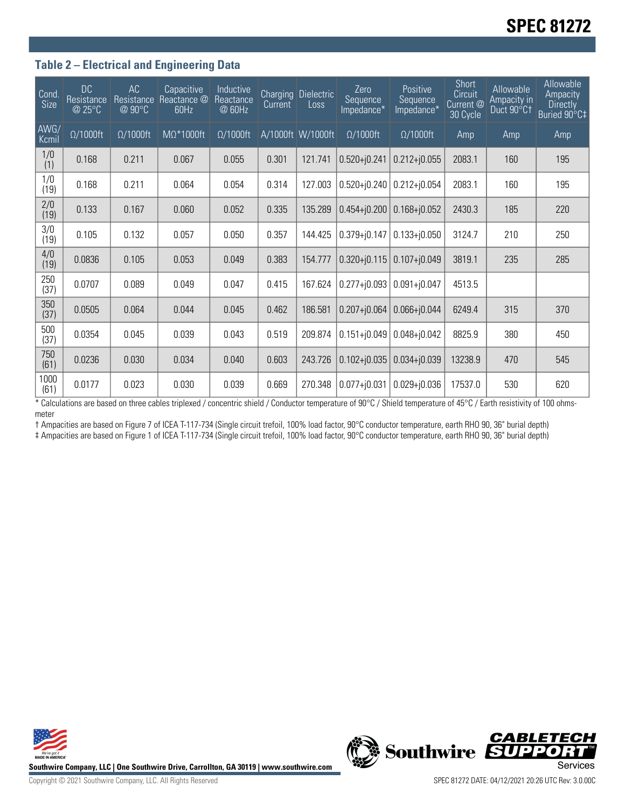### **Table 2 – Electrical and Engineering Data**

| Cond.<br>Size | <b>DC</b><br>Resistance<br>@ 25°C | AC<br>Resistance<br>@ 90°C | Capacitive<br>Reactance @<br>60Hz | Inductive<br>Reactance<br>@ 60Hz | <b>Charging</b><br>Current | <b>Dielectric</b><br>Loss | Zero<br>Sequence<br>Impedance* | Positive<br>Sequence<br>Impedance* | <b>Short</b><br>Circuit<br>Current @<br>30 Cycle | Allowable<br>Ampacity in<br>Duct 90°C1 | Allowable<br>Ampacity<br><b>Directly</b><br>Buried 90°C‡ |
|---------------|-----------------------------------|----------------------------|-----------------------------------|----------------------------------|----------------------------|---------------------------|--------------------------------|------------------------------------|--------------------------------------------------|----------------------------------------|----------------------------------------------------------|
| AWG/<br>Kcmil | $\Omega/1000$ ft                  | $\Omega/1000$ ft           | MΩ*1000ft                         | $\Omega/1000$ ft                 |                            | A/1000ft W/1000ft         | $\Omega/1000$ ft               | $\Omega/1000$ ft                   | Amp                                              | Amp                                    | Amp                                                      |
| 1/0<br>(1)    | 0.168                             | 0.211                      | 0.067                             | 0.055                            | 0.301                      | 121.741                   | $0.520 + j0.241$               | $0.212 + j0.055$                   | 2083.1                                           | 160                                    | 195                                                      |
| 1/0<br>(19)   | 0.168                             | 0.211                      | 0.064                             | 0.054                            | 0.314                      | 127.003                   | $0.520 + j0.240$               | $0.212 + j0.054$                   | 2083.1                                           | 160                                    | 195                                                      |
| 2/0<br>(19)   | 0.133                             | 0.167                      | 0.060                             | 0.052                            | 0.335                      | 135.289                   | $0.454 + 0.200$                | $0.168 + j0.052$                   | 2430.3                                           | 185                                    | 220                                                      |
| 3/0<br>(19)   | 0.105                             | 0.132                      | 0.057                             | 0.050                            | 0.357                      | 144.425                   | $0.379 + j0.147$               | $0.133 + j0.050$                   | 3124.7                                           | 210                                    | 250                                                      |
| 4/0<br>(19)   | 0.0836                            | 0.105                      | 0.053                             | 0.049                            | 0.383                      | 154.777                   | $0.320 + 0.115$                | $0.107 + j0.049$                   | 3819.1                                           | 235                                    | 285                                                      |
| 250<br>(37)   | 0.0707                            | 0.089                      | 0.049                             | 0.047                            | 0.415                      | 167.624                   | $0.277 + 0.093$                | $0.091 + j0.047$                   | 4513.5                                           |                                        |                                                          |
| 350<br>(37)   | 0.0505                            | 0.064                      | 0.044                             | 0.045                            | 0.462                      | 186.581                   | $0.207 + j0.064$               | $0.066 + j0.044$                   | 6249.4                                           | 315                                    | 370                                                      |
| 500<br>(37)   | 0.0354                            | 0.045                      | 0.039                             | 0.043                            | 0.519                      | 209.874                   | $0.151 + 0.049$                | $0.048 + j0.042$                   | 8825.9                                           | 380                                    | 450                                                      |
| 750<br>(61)   | 0.0236                            | 0.030                      | 0.034                             | 0.040                            | 0.603                      | 243.726                   | $0.102 + j0.035$               | $0.034 + 0.039$                    | 13238.9                                          | 470                                    | 545                                                      |
| 1000<br>(61)  | 0.0177                            | 0.023                      | 0.030                             | 0.039                            | 0.669                      | 270.348                   | $0.077 + j0.031$               | $0.029 + j0.036$                   | 17537.0                                          | 530                                    | 620                                                      |

\* Calculations are based on three cables triplexed / concentric shield / Conductor temperature of 90°C / Shield temperature of 45°C / Earth resistivity of 100 ohmsmeter

† Ampacities are based on Figure 7 of ICEA T-117-734 (Single circuit trefoil, 100% load factor, 90°C conductor temperature, earth RHO 90, 36" burial depth) ‡ Ampacities are based on Figure 1 of ICEA T-117-734 (Single circuit trefoil, 100% load factor, 90°C conductor temperature, earth RHO 90, 36" burial depth)





**CABLETECH**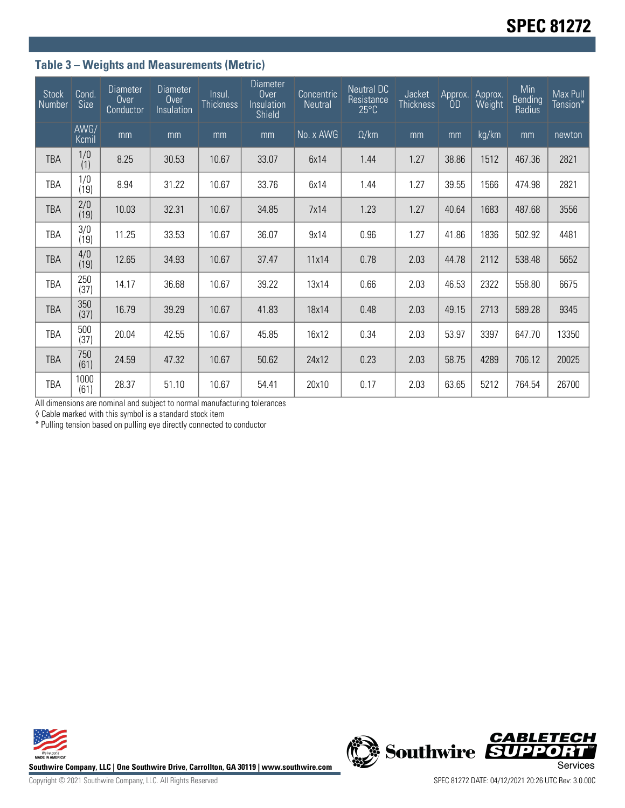## **Table 3 – Weights and Measurements (Metric)**

| <b>Stock</b><br>Number | Cond.<br>Size         | <b>Diameter</b><br>Over<br>Conductor | <b>Diameter</b><br>Over<br>Insulation | Insul.<br><b>Thickness</b> | <b>Diameter</b><br>Over<br>Insulation<br>Shield | Concentric<br>Neutral | <b>Neutral DC</b><br>Resistance<br>$25^{\circ}$ C | Jacket<br><b>Thickness</b> | Approx.<br>ÒD | Approx.<br>Weight | Min<br><b>Bending</b><br>Radius | Max Pull<br>Tension* |
|------------------------|-----------------------|--------------------------------------|---------------------------------------|----------------------------|-------------------------------------------------|-----------------------|---------------------------------------------------|----------------------------|---------------|-------------------|---------------------------------|----------------------|
|                        | AWG/<br>Kcmil         | mm                                   | mm                                    | mm                         | mm                                              | No. x AVAG'           | $\Omega$ /km                                      | mm                         | mm            | kg/km             | mm                              | newton               |
| <b>TBA</b>             | 1/0<br>(1)            | 8.25                                 | 30.53                                 | 10.67                      | 33.07                                           | 6x14                  | 1.44                                              | 1.27                       | 38.86         | 1512              | 467.36                          | 2821                 |
| TBA                    | 1/0<br>(19)           | 8.94                                 | 31.22                                 | 10.67                      | 33.76                                           | 6x14                  | 1.44                                              | 1.27                       | 39.55         | 1566              | 474.98                          | 2821                 |
| <b>TBA</b>             | $\frac{2}{0}$<br>(19) | 10.03                                | 32.31                                 | 10.67                      | 34.85                                           | 7x14                  | 1.23                                              | 1.27                       | 40.64         | 1683              | 487.68                          | 3556                 |
| TBA                    | 3/0<br>(19)           | 11.25                                | 33.53                                 | 10.67                      | 36.07                                           | 9x14                  | 0.96                                              | 1.27                       | 41.86         | 1836              | 502.92                          | 4481                 |
| <b>TBA</b>             | 4/0<br>(19)           | 12.65                                | 34.93                                 | 10.67                      | 37.47                                           | 11x14                 | 0.78                                              | 2.03                       | 44.78         | 2112              | 538.48                          | 5652                 |
| TBA                    | 250<br>(37)           | 14.17                                | 36.68                                 | 10.67                      | 39.22                                           | 13x14                 | 0.66                                              | 2.03                       | 46.53         | 2322              | 558.80                          | 6675                 |
| <b>TBA</b>             | 350<br>(37)           | 16.79                                | 39.29                                 | 10.67                      | 41.83                                           | 18x14                 | 0.48                                              | 2.03                       | 49.15         | 2713              | 589.28                          | 9345                 |
| <b>TBA</b>             | 500<br>(37)           | 20.04                                | 42.55                                 | 10.67                      | 45.85                                           | 16x12                 | 0.34                                              | 2.03                       | 53.97         | 3397              | 647.70                          | 13350                |
| <b>TBA</b>             | 750<br>(61)           | 24.59                                | 47.32                                 | 10.67                      | 50.62                                           | 24x12                 | 0.23                                              | 2.03                       | 58.75         | 4289              | 706.12                          | 20025                |
| TBA                    | 1000<br>(61)          | 28.37                                | 51.10                                 | 10.67                      | 54.41                                           | 20x10                 | 0.17                                              | 2.03                       | 63.65         | 5212              | 764.54                          | 26700                |

All dimensions are nominal and subject to normal manufacturing tolerances

◊ Cable marked with this symbol is a standard stock item

\* Pulling tension based on pulling eye directly connected to conductor